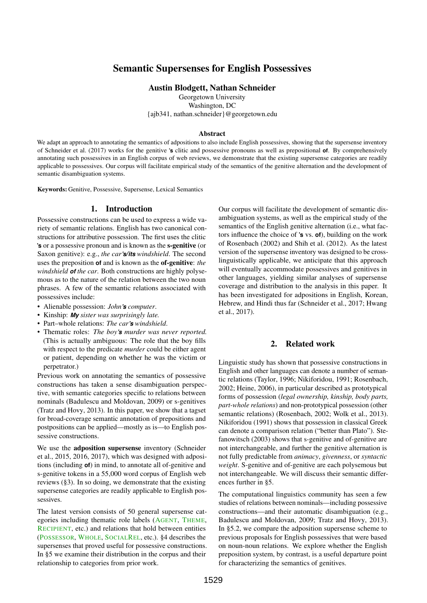# Semantic Supersenses for English Possessives

Austin Blodgett, Nathan Schneider

Georgetown University

Washington, DC

{ajb341, nathan.schneider}@georgetown.edu

#### Abstract

We adapt an approach to annotating the semantics of adpositions to also include English possessives, showing that the supersense inventory of [Schneider et al.](#page-5-0) [\(2017\)](#page-5-0) works for the genitive **'s** clitic and possessive pronouns as well as prepositional **of**. By comprehensively annotating such possessives in an English corpus of web reviews, we demonstrate that the existing supersense categories are readily applicable to possessives. Our corpus will facilitate empirical study of the semantics of the genitive alternation and the development of semantic disambiguation systems.

Keywords: Genitive, Possessive, Supersense, Lexical Semantics

#### 1. Introduction

Possessive constructions can be used to express a wide variety of semantic relations. English has two canonical constructions for attributive possession. The first uses the clitic **'s** or a possessive pronoun and is known as the s-genitive (or Saxon genitive): e.g., *the car's/its windshield*. The second uses the preposition **of** and is known as the of-genitive: *the windshield of the car*. Both constructions are highly polysemous as to the nature of the relation between the two noun phrases. A few of the semantic relations associated with possessives include:

- Alienable possession: *John's computer*.
- Kinship: *My sister was surprisingly late.*
- Part–whole relations: *The car's windshield*.
- Thematic roles: *The boy's murder was never reported.* (This is actually ambiguous: The role that the boy fills with respect to the predicate *murder* could be either agent or patient, depending on whether he was the victim or perpetrator.)

Previous work on annotating the semantics of possessive constructions has taken a sense disambiguation perspective, with semantic categories specific to relations between nominals [\(Badulescu and Moldovan,](#page-4-0) [2009\)](#page-4-0) or s-genitives [\(Tratz and Hovy,](#page-5-1) [2013\)](#page-5-1). In this paper, we show that a tagset for broad-coverage semantic annotation of prepositions and postpositions can be applied—mostly as is—to English possessive constructions.

We use the adposition supersense inventory [\(Schneider](#page-5-2) [et al.,](#page-5-2) [2015,](#page-5-2) [2016,](#page-5-3) [2017\)](#page-5-0), which was designed with adpositions (including **of**) in mind, to annotate all of-genitive and s-genitive tokens in a 55,000 word corpus of English web reviews ([§3\)](#page-0-0). In so doing, we demonstrate that the existing supersense categories are readily applicable to English possessives.

The latest version consists of 50 general supersense categories including thematic role labels (AGENT, THEME, RECIPIENT, etc.) and relations that hold between entities (POSSESSOR, WHOLE, SOCIALREL, etc.). [§4](#page-1-0) describes the supersenses that proved useful for possessive constructions. In [§5](#page-3-0) we examine their distribution in the corpus and their relationship to categories from prior work.

Our corpus will facilitate the development of semantic disambiguation systems, as well as the empirical study of the semantics of the English genitive alternation (i.e., what factors influence the choice of **'s** vs. **of**), building on the work of [Rosenbach](#page-5-4) [\(2002\)](#page-5-4) and [Shih et al.](#page-5-5) [\(2012\)](#page-5-5). As the latest version of the supersense inventory was designed to be crosslinguistically applicable, we anticipate that this approach will eventually accommodate possessives and genitives in other languages, yielding similar analyses of supersense coverage and distribution to the analysis in this paper. It has been investigated for adpositions in English, Korean, Hebrew, and Hindi thus far [\(Schneider et al.,](#page-5-0) [2017;](#page-5-0) [Hwang](#page-5-6) [et al.,](#page-5-6) [2017\)](#page-5-6).

## 2. Related work

Linguistic study has shown that possessive constructions in English and other languages can denote a number of semantic relations [\(Taylor,](#page-5-7) [1996;](#page-5-7) [Nikiforidou,](#page-5-8) [1991;](#page-5-8) [Rosenbach,](#page-5-4) [2002;](#page-5-4) [Heine,](#page-5-9) [2006\)](#page-5-9), in particular described as prototypical forms of possession (*legal ownership, kinship, body parts, part-whole relations*) and non-prototypical possession (other semantic relations) [\(Rosenbach,](#page-5-4) [2002;](#page-5-4) [Wolk et al.,](#page-5-10) [2013\)](#page-5-10). [Nikiforidou](#page-5-8) [\(1991\)](#page-5-8) shows that possession in classical Greek can denote a comparison relation ("better than Plato"). [Ste](#page-5-11)[fanowitsch](#page-5-11) [\(2003\)](#page-5-11) shows that s-genitive and of-genitive are not interchangeable, and further the genitive alternation is not fully predictable from *animacy*, *givenness*, or *syntactic weight*. S-genitive and of-genitive are each polysemous but not interchangeable. We will discuss their semantic differences further in [§5.](#page-3-0)

<span id="page-0-0"></span>The computational linguistics community has seen a few studies of relations between nominals—including possessive constructions—and their automatic disambiguation (e.g., [Badulescu and Moldovan,](#page-4-0) [2009;](#page-4-0) [Tratz and Hovy,](#page-5-1) [2013\)](#page-5-1). In [§5.2,](#page-3-1) we compare the adposition supersense scheme to previous proposals for English possessives that were based on noun-noun relations. We explore whether the English preposition system, by contrast, is a useful departure point for characterizing the semantics of genitives.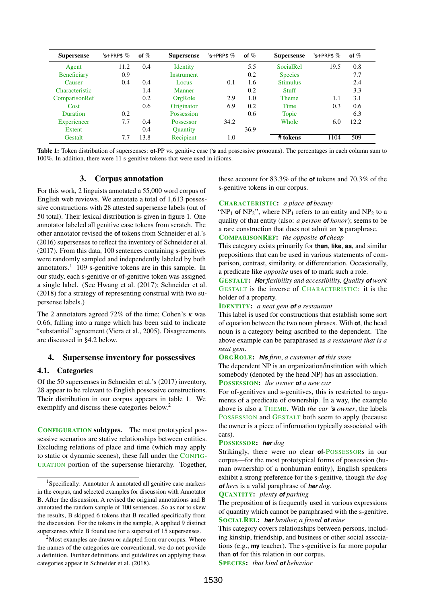<span id="page-1-2"></span>

| <b>Supersense</b>  | $'s + PRP$$ | of $%$ | <b>Supersense</b> | $3$ +PRP\$ $\%$ | of $%$ | <b>Supersense</b> | $\text{S+PRPS} \%$ | of $%$ |
|--------------------|-------------|--------|-------------------|-----------------|--------|-------------------|--------------------|--------|
| Agent              | 11.2        | 0.4    | <b>Identity</b>   |                 | 5.5    | <b>SocialRel</b>  | 19.5               | 0.8    |
| <b>Beneficiary</b> | 0.9         |        | Instrument        |                 | 0.2    | <b>Species</b>    |                    | 7.7    |
| Causer             | 0.4         | 0.4    | Locus.            | 0.1             | 1.6    | <b>Stimulus</b>   |                    | 2.4    |
| Characteristic     |             | 1.4    | Manner            |                 | 0.2    | Stuff             |                    | 3.3    |
| ComparisonRef      |             | 0.2    | OrgRole           | 2.9             | 1.0    | <b>Theme</b>      | 1.1                | 3.1    |
| Cost               |             | 0.6    | Originator        | 6.9             | 0.2    | Time              | 0.3                | 0.6    |
| <b>Duration</b>    | 0.2         |        | Possession        |                 | 0.6    | Topic             |                    | 6.3    |
| Experiencer        | 7.7         | 0.4    | <b>Possessor</b>  | 34.2            |        | Whole             | 6.0                | 12.2   |
| Extent             |             | 0.4    | <b>Quantity</b>   |                 | 36.9   |                   |                    |        |
| Gestalt            | 7.7         | 13.8   | Recipient         | 1.0             |        | # tokens          | 1104               | 509    |

Table 1: Token distribution of supersenses: **of**-PP vs. genitive case (**'s** and possessive pronouns). The percentages in each column sum to 100%. In addition, there were 11 s-genitive tokens that were used in idioms.

## 3. Corpus annotation

For this work, 2 linguists annotated a 55,000 word corpus of English web reviews. We annotate a total of 1,613 possessive constructions with 28 attested supersense labels (out of 50 total). Their lexical distribution is given in figure [1.](#page-2-0) One annotator labeled all genitive case tokens from scratch. The other annotator revised the **of** tokens from [Schneider et al.'](#page-5-3)s [\(2016\)](#page-5-3) supersenses to reflect the inventory of [Schneider et al.](#page-5-0) [\(2017\)](#page-5-0). From this data, 100 sentences containing s-genitives were randomly sampled and independently labeled by both annotators. $1$  109 s-genitive tokens are in this sample. In our study, each s-genitive or of-genitive token was assigned a single label. (See [Hwang et al.](#page-5-6) [\(2017\)](#page-5-6); [Schneider et al.](#page-5-12) [\(2018\)](#page-5-12) for a strategy of representing construal with two supersense labels.)

The 2 annotators agreed 72% of the time; Cohen's  $\kappa$  was 0.66, falling into a range which has been said to indicate "substantial" agreement [\(Viera et al.,](#page-5-13) [2005\)](#page-5-13). Disagreements are discussed in [§4.2](#page-2-1) below.

## <span id="page-1-0"></span>4. Supersense inventory for possessives

#### 4.1. Categories

Of the 50 supersenses in [Schneider et al.'](#page-5-0)s [\(2017\)](#page-5-0) inventory, 28 appear to be relevant to English possessive constructions. Their distribution in our corpus appears in table [1.](#page-1-2) We exemplify and discuss these categories below.<sup>[2](#page-1-3)</sup>

CONFIGURATION subtypes. The most prototypical possessive scenarios are stative relationships between entities. Excluding relations of place and time (which may apply to static or dynamic scenes), these fall under the CONFIG-URATION portion of the supersense hierarchy. Together,

these account for 83.3% of the **of** tokens and 70.3% of the s-genitive tokens in our corpus.

#### CHARACTERISTIC: *a place of beauty*

"NP<sub>1</sub> of NP<sub>2</sub>", where NP<sub>1</sub> refers to an entity and NP<sub>2</sub> to a quality of that entity (also: *a person of honor*); seems to be a rare construction that does not admit an **'s** paraphrase.

### COMPARISONREF: *the opposite of cheap*

This category exists primarily for **than**, **like**, **as**, and similar prepositions that can be used in various statements of comparison, contrast, similarity, or differentiation. Occasionally, a predicate like *opposite* uses **of** to mark such a role.

GESTALT: *Her flexibility and accessibility, Quality of work* GESTALT is the inverse of CHARACTERISTIC: it is the holder of a property.

#### IDENTITY: *a neat gem of a restaurant*

This label is used for constructions that establish some sort of equation between the two noun phrases. With **of**, the head noun is a category being ascribed to the dependent. The above example can be paraphrased as *a restaurant that is a neat gem*.

#### ORGROLE: *his firm*, *a customer of this store*

The dependent NP is an organization/institution with which somebody (denoted by the head NP) has an association.

POSSESSION: *the owner of a new car*

For of-genitives and s-genitives, this is restricted to arguments of a predicate of ownership. In a way, the example above is also a THEME. With *the car 's owner*, the labels POSSESSION and GESTALT both seem to apply (because the owner is a piece of information typically associated with cars).

#### POSSESSOR: *her dog*

Strikingly, there were no clear **of**-POSSESSORs in our corpus—for the most prototypical forms of possession (human ownership of a nonhuman entity), English speakers exhibit a strong preference for the s-genitive, though *the dog of hers* is a valid paraphrase of *her dog*.

QUANTITY: *plenty of parking*

SPECIES: *that kind of behavior*

<span id="page-1-1"></span><sup>&</sup>lt;sup>1</sup>Specifically: Annotator A annotated all genitive case markers in the corpus, and selected examples for discussion with Annotator B. After the discussion, A revised the original annotations and B annotated the random sample of 100 sentences. So as not to skew the results, B skipped 6 tokens that B recalled specifically from the discussion. For the tokens in the sample, A applied 9 distinct supersenses while B found use for a superset of 15 supersenses.

<span id="page-1-3"></span><sup>&</sup>lt;sup>2</sup>Most examples are drawn or adapted from our corpus. Where the names of the categories are conventional, we do not provide a definition. Further definitions and guidelines on applying these categories appear in [Schneider et al.](#page-5-12) [\(2018\)](#page-5-12).

The preposition **of** is frequently used in various expressions of quantity which cannot be paraphrased with the s-genitive. SOCIALREL: *her brother, a friend of mine*

This category covers relationships between persons, including kinship, friendship, and business or other social associations (e.g., **my** teacher). The s-genitive is far more popular than **of** for this relation in our corpus.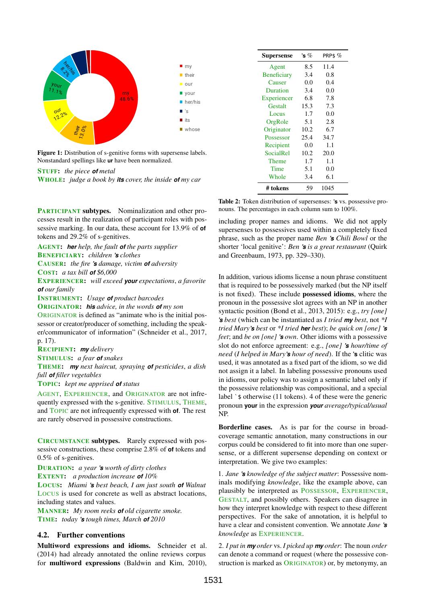<span id="page-2-0"></span>

Figure 1: Distribution of s-genitive forms with supersense labels. Nonstandard spellings like **ur** have been normalized.

STUFF: *the piece of metal*

WHOLE: *judge a book by its cover, the inside of my car*

PARTICIPANT subtypes. Nominalization and other processes result in the realization of participant roles with possessive marking. In our data, these account for 13.9% of **of** tokens and 29.2% of s-genitives.

AGENT: *her help, the fault of the parts supplier* BENEFICIARY: *children 's clothes*

CAUSER: *the fire 's damage, victim of adversity* COST: *a tax bill of \$6,000*

EXPERIENCER: *will exceed your expectations*, *a favorite of our family*

INSTRUMENT: *Usage of product barcodes*

ORIGINATOR: *his advice, in the words of my son* ORIGINATOR is defined as "animate who is the initial possessor or creator/producer of something, including the speaker/communicator of information" [\(Schneider et al.,](#page-5-0) [2017,](#page-5-0) p. 17).

RECIPIENT: *my delivery*

STIMULUS: *a fear of snakes*

THEME: *my next haircut, spraying of pesticides*, *a dish full of filler vegetables*

TOPIC: *kept me apprised of status*

AGENT, EXPERIENCER, and ORIGINATOR are not infrequently expressed with the s-genitive. STIMULUS, THEME, and TOPIC are not infrequently expressed with **of**. The rest are rarely observed in possessive constructions.

CIRCUMSTANCE subtypes. Rarely expressed with possessive constructions, these comprise 2.8% of **of** tokens and 0.5% of s-genitives.

DURATION: *a year 's worth of dirty clothes* EXTENT: *a production increase of 10%* LOCUS: *Miami 's best beach, I am just south of Walnut* LOCUS is used for concrete as well as abstract locations, including states and values.

MANNER: *My room reeks of old cigarette smoke.* TIME: *today 's tough times, March of 2010*

## <span id="page-2-1"></span>4.2. Further conventions

Multiword expressions and idioms. [Schneider et al.](#page-5-14) [\(2014\)](#page-5-14) had already annotated the online reviews corpus for multiword expressions [\(Baldwin and Kim,](#page-4-1) [2010\)](#page-4-1),

<span id="page-2-2"></span>

| Supersense         | 's $\%$ | PRP\$ $\%$ |
|--------------------|---------|------------|
| Agent              | 8.5     | 11.4       |
| <b>Beneficiary</b> | 3.4     | 0.8        |
| Causer             | 0.0     | 0.4        |
| Duration           | 3.4     | 0.0        |
| Experiencer        | 6.8     | 7.8        |
| Gestalt            | 15.3    | 7.3        |
| Locus              | 1.7     | 0.0        |
| OrgRole            | 5.1     | 2.8        |
| Originator         | 10.2    | 6.7        |
| Possessor          | 25.4    | 34.7       |
| Recipient          | 0.0     | 1.1        |
| SocialRel          | 10.2    | 20.0       |
| <b>Theme</b>       | 1.7     | 1.1        |
| Time               | 5.1     | 0.0        |
| Whole              | 3.4     | 6.1        |
| # tokens           | 59      | 1045       |

Table 2: Token distribution of supersenses: **'s** vs. possessive pronouns. The percentages in each column sum to 100%.

including proper names and idioms. We did not apply supersenses to possessives used within a completely fixed phrase, such as the proper name *Ben 's Chili Bowl* or the shorter 'local genitive': *Ben 's is a great restaurant* [\(Quirk](#page-5-15) [and Greenbaum,](#page-5-15) [1973,](#page-5-15) pp. 329–330).

In addition, various idioms license a noun phrase constituent that is required to be possessively marked (but the NP itself is not fixed). These include possessed idioms, where the pronoun in the possessive slot agrees with an NP in another syntactic position [\(Bond et al.,](#page-4-2) [2013,](#page-4-2) [2015\)](#page-4-3): e.g., *try [one] 's best* (which can be instantiated as *I tried my best*, not *\*I tried Mary's best* or *\*I tried her best*); *be quick on [one] 's feet*; and *be on [one] 's own*. Other idioms with a possessive slot do not enforce agreement: e.g., *[one] 's hour/time of need* (*I helped in Mary's hour of need*). If the **'s** clitic was used, it was annotated as a fixed part of the idiom, so we did not assign it a label. In labeling possessive pronouns used in idioms, our policy was to assign a semantic label only if the possessive relationship was compositional, and a special label `\$ otherwise (11 tokens). 4 of these were the generic pronoun **your** in the expression *your average/typical/usual* NP.

Borderline cases. As is par for the course in broadcoverage semantic annotation, many constructions in our corpus could be considered to fit into more than one supersense, or a different supersense depending on context or interpretation. We give two examples:

1. *Jane 's knowledge of the subject matter*: Possessive nominals modifying *knowledge*, like the example above, can plausibly be interpreted as POSSESSOR, EXPERIENCER, GESTALT, and possibly others. Speakers can disagree in how they interpret knowledge with respect to these different perspectives. For the sake of annotation, it is helpful to have a clear and consistent convention. We annotate *Jane 's knowledge* as EXPERIENCER.

2. *I put in my order* vs. *I picked up my order*: The noun *order* can denote a command or request (where the possessive construction is marked as ORIGINATOR) or, by metonymy, an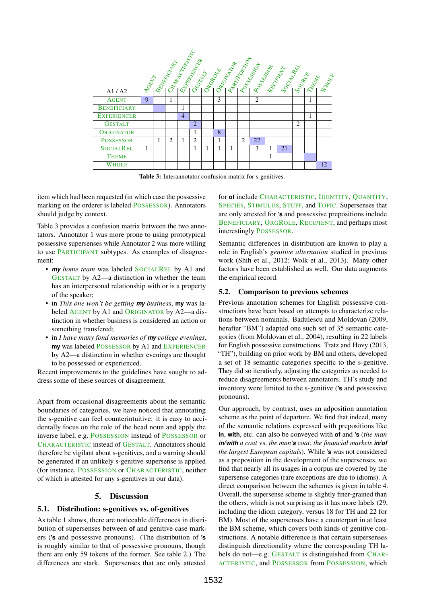<span id="page-3-2"></span>

Table 3: Interannotator confusion matrix for s-genitives.

item which had been requested (in which case the possessive marking on the orderer is labeled POSSESSOR). Annotators should judge by context.

Table [3](#page-3-2) provides a confusion matrix between the two annotators. Annotator 1 was more prone to using prototypical possessive supersenses while Annotator 2 was more willing to use PARTICIPANT subtypes. As examples of disagreement:

- *my home team* was labeled SOCIALREL by A1 and GESTALT by A2—a distinction in whether the team has an interpersonal relationship with or is a property of the speaker;
- in *This one won't be getting my business*, **my** was labeled AGENT by A1 and ORIGINATOR by A2—a distinction in whether business is considered an action or something transfered;
- in *I have many fond memories of my college evenings*, **my** was labeled POSSESSOR by A1 and EXPERIENCER by A2—a distinction in whether evenings are thought to be possessed or experienced.

Recent improvements to the guidelines have sought to address some of these sources of disagreement.

Apart from occasional disagreements about the semantic boundaries of categories, we have noticed that annotating the s-genitive can feel counterintuitive: it is easy to accidentally focus on the role of the head noun and apply the inverse label, e.g. POSSESSION instead of POSSESSOR or CHARACTERISTIC instead of GESTALT. Annotators should therefore be vigilant about s-genitives, and a warning should be generated if an unlikely s-genitive supersense is applied (for instance, POSSESSION or CHARACTERISTIC, neither of which is attested for any s-genitives in our data).

## 5. Discussion

## <span id="page-3-0"></span>5.1. Distribution: s-genitives vs. of-genitives

As table [1](#page-1-2) shows, there are noticeable differences in distribution of supersenses between **of** and genitive case markers (**'s** and possessive pronouns). (The distribution of **'s** is roughly similar to that of possessive pronouns, though there are only 59 tokens of the former. See table [2.](#page-2-2)) The differences are stark. Supersenses that are only attested

for **of** include CHARACTERISTIC, IDENTITY, QUANTITY, SPECIES, STIMULUS, STUFF, and TOPIC. Supersenses that are only attested for **'s** and possessive prepositions include BENEFICIARY, ORGROLE, RECIPIENT, and perhaps most interestingly POSSESSOR.

Semantic differences in distribution are known to play a role in English's *genitive alternation* studied in previous work [\(Shih et al.,](#page-5-5) [2012;](#page-5-5) [Wolk et al.,](#page-5-10) [2013\)](#page-5-10). Many other factors have been established as well. Our data augments the empirical record.

## <span id="page-3-1"></span>5.2. Comparison to previous schemes

Previous annotation schemes for English possessive constructions have been based on attempts to characterize relations between nominals. [Badulescu and Moldovan](#page-4-0) [\(2009,](#page-4-0) herafter "BM") adapted one such set of 35 semantic categories (from [Moldovan et al.,](#page-5-16) [2004\)](#page-5-16), resulting in 22 labels for English possessive constructions. [Tratz and Hovy](#page-5-1) [\(2013,](#page-5-1) "TH"), building on prior work by BM and others, developed a set of 18 semantic categories specific to the s-genitive. They did so iteratively, adjusting the categories as needed to reduce disagreements between annotators. TH's study and inventory were limited to the s-genitive (**'s** and possessive pronouns).

Our approach, by contrast, uses an adposition annotation scheme as the point of departure. We find that indeed, many of the semantic relations expressed with prepositions like **in**, **with**, etc. can also be conveyed with **of** and **'s** (*the man in/with a coat* vs. *the man's coat*; *the financial markets in/of the largest European capitals*). While **'s** was not considered as a preposition in the development of the supersenses, we find that nearly all its usages in a corpus are covered by the supersense categories (rare exceptions are due to idioms). A direct comparison between the schemes is given in table [4.](#page-4-4) Overall, the supersense scheme is slightly finer-grained than the others, which is not surprising as it has more labels (29, including the idiom category, versus 18 for TH and 22 for BM). Most of the supersenses have a counterpart in at least the BM scheme, which covers both kinds of genitive constructions. A notable difference is that certain supersenses distinguish directionality where the corresponding TH labels do not—e.g. GESTALT is distinguished from CHAR-ACTERISTIC, and POSSESSOR from POSSESSION, which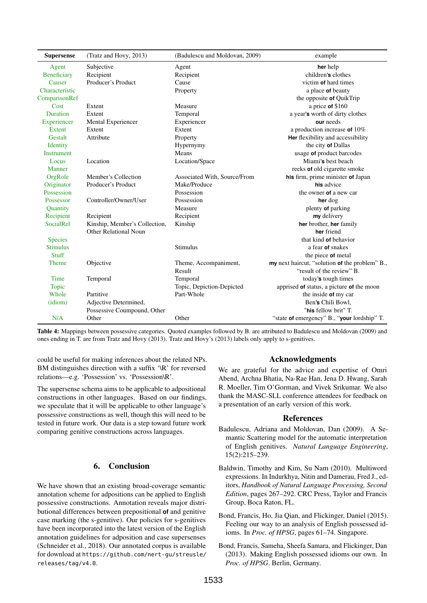<span id="page-4-4"></span>

| <b>Supersense</b>  | (Tratz and Hovy, 2013)        | (Badulescu and Moldovan, 2009) | example                                        |
|--------------------|-------------------------------|--------------------------------|------------------------------------------------|
| Agent              | Subjective                    | Agent                          | her help                                       |
| <b>Beneficiary</b> | Recipient                     | Recipient                      | children's clothes                             |
| Causer             | Producer's Product            | Cause                          | victim of hard times                           |
| Characteristic     |                               | Property                       | a place of beauty                              |
| ComparisonRef      |                               |                                | the opposite of QuikTrip                       |
| Cost               | Extent                        | Measure                        | a price of $$160$                              |
| Duration           | Extent                        | Temporal                       | a year's worth of dirty clothes                |
| Experiencer        | Mental Experiencer            | Experiencer                    | our needs                                      |
| Extent             | Extent                        | Extent                         | a production increase of $10\%$                |
| Gestalt            | Attribute                     | Property                       | Her flexibility and accessibility              |
| <b>Identity</b>    |                               | Hypernymy                      | the city of Dallas                             |
| <b>Instrument</b>  |                               | Means                          | usage of product barcodes                      |
| Locus              | Location                      | Location/Space                 | Miami's best beach                             |
| Manner             |                               |                                | reeks of old cigarette smoke                   |
| OrgRole            | Member's Collection           | Associated With, Source/From   | his firm, prime minister of Japan              |
| Originator         | Producer's Product            | Make/Produce                   | his advice                                     |
| Possession         |                               | Possession                     | the owner of a new car                         |
| Possessor          | Controller/Owner/User         | Possession                     | her dog                                        |
| Quantity           |                               | Measure                        | plenty of parking                              |
| Recipient          | Recipient                     | Recipient                      | my delivery                                    |
| <b>SocialRel</b>   | Kinship, Member's Collection, | Kinship                        | her brother, her family                        |
|                    | <b>Other Relational Noun</b>  |                                | her friend                                     |
| <b>Species</b>     |                               |                                | that kind of behavior                          |
| <b>Stimulus</b>    |                               | <b>Stimulus</b>                | a fear of snakes                               |
| <b>Stuff</b>       |                               |                                | the piece of metal                             |
| <b>Theme</b>       | Objective                     | Theme, Accompaniment,          | my next haircut, "solution of the problem" B., |
|                    |                               | Result                         | "result of the review" B.                      |
| <b>Time</b>        | Temporal                      | Temporal                       | today's tough times                            |
| <b>Topic</b>       |                               | Topic, Depiction-Depicted      | apprised of status, a picture of the moon      |
| Whole              | Partitive                     | Part-Whole                     | the inside of my car                           |
| (idiom)            | Adjective Determined,         |                                | Ben's Chili Bowl,                              |
|                    | Possessive Coumpound, Other   |                                | "his fellow brit" T.                           |
| N/A                | Other                         | Other                          | "state of emergency" B., "your lordship" T.    |

Table 4: Mappings between possessive categories. Quoted examples followed by B. are attributed to [Badulescu and Moldovan](#page-4-0) [\(2009\)](#page-4-0) and ones ending in T. are from [Tratz and Hovy](#page-5-1) [\(2013\)](#page-5-1). [Tratz and Hovy'](#page-5-1)s [\(2013\)](#page-5-1) labels only apply to s-genitives.

could be useful for making inferences about the related NPs. BM distinguishes direction with a suffix '\R' for reversed relations—e.g. 'Possession' vs. 'Possession\R'.

The supersense schema aims to be applicable to adpositional constructions in other languages. Based on our findings, we speculate that it will be applicable to other language's possessive constructions as well, though this will need to be tested in future work. Our data is a step toward future work comparing genitive constructions across languages.

## 6. Conclusion

We have shown that an existing broad-coverage semantic annotation scheme for adpositions can be applied to English possessive constructions. Annotation reveals major distributional differences between prepositional **of** and genitive case marking (the s-genitive). Our policies for s-genitives have been incorporated into the latest version of the English annotation guidelines for adposition and case supersenses [\(Schneider et al.,](#page-5-12) [2018\)](#page-5-12). Our annotated corpus is available for download at [https://github.com/nert-gu/streusle/](https://github.com/nert-gu/streusle/releases/tag/v4.0) [releases/tag/v4.0](https://github.com/nert-gu/streusle/releases/tag/v4.0).

## Acknowledgments

We are grateful for the advice and expertise of Omri Abend, Archna Bhatia, Na-Rae Han, Jena D. Hwang, Sarah R. Moeller, Tim O'Gorman, and Vivek Srikumar. We also thank the MASC-SLL conference attendees for feedback on a presentation of an early version of this work.

#### References

- <span id="page-4-0"></span>Badulescu, Adriana and Moldovan, Dan (2009). A Semantic Scattering model for the automatic interpretation of English genitives. *Natural Language Engineering*, 15(2):215–239.
- <span id="page-4-1"></span>Baldwin, Timothy and Kim, Su Nam (2010). Multiword expressions. In Indurkhya, Nitin and Damerau, Fred J., editors, *Handbook of Natural Language Processing, Second Edition*, pages 267–292. CRC Press, Taylor and Francis Group, Boca Raton, FL.
- <span id="page-4-3"></span>Bond, Francis, Ho, Jia Qian, and Flickinger, Daniel (2015). Feeling our way to an analysis of English possessed idioms. In *Proc. of HPSG*, pages 61–74. Singapore.
- <span id="page-4-2"></span>Bond, Francis, Sameha, Sheefa Samara, and Flickinger, Dan (2013). Making English possessed idioms our own. In *Proc. of HPSG*. Berlin, Germany.